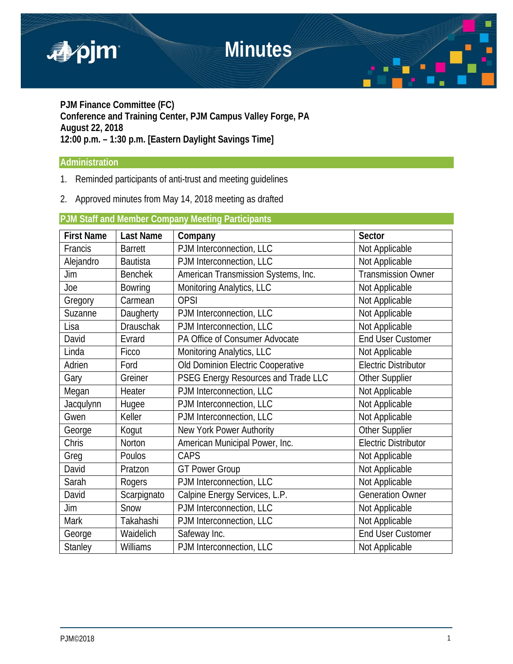# **Minutes**





**PJM Finance Committee (FC) Conference and Training Center, PJM Campus Valley Forge, PA August 22, 2018 12:00 p.m. – 1:30 p.m. [Eastern Daylight Savings Time]**

### **Administration**

- 1. Reminded participants of anti-trust and meeting guidelines
- 2. Approved minutes from May 14, 2018 meeting as drafted

## **PJM Staff and Member Company Meeting Participants**

| <b>First Name</b> | <b>Last Name</b> | Company                                                   | <b>Sector</b>               |
|-------------------|------------------|-----------------------------------------------------------|-----------------------------|
| Francis           | <b>Barrett</b>   | PJM Interconnection, LLC                                  | Not Applicable              |
| Alejandro         | <b>Bautista</b>  | PJM Interconnection, LLC                                  | Not Applicable              |
| Jim               | <b>Benchek</b>   | Transmission Owner<br>American Transmission Systems, Inc. |                             |
| Joe               | <b>Bowring</b>   | Monitoring Analytics, LLC                                 | Not Applicable              |
| Gregory           | Carmean          | <b>OPSI</b>                                               | Not Applicable              |
| Suzanne           | Daugherty        | PJM Interconnection, LLC                                  | Not Applicable              |
| Lisa              | <b>Drauschak</b> | PJM Interconnection, LLC                                  | Not Applicable              |
| David             | Evrard           | PA Office of Consumer Advocate                            | End User Customer           |
| Linda             | Ficco            | Monitoring Analytics, LLC                                 | Not Applicable              |
| Adrien            | Ford             | Old Dominion Electric Cooperative                         | <b>Electric Distributor</b> |
| Gary              | Greiner          | PSEG Energy Resources and Trade LLC                       | <b>Other Supplier</b>       |
| Megan             | Heater           | PJM Interconnection, LLC                                  | Not Applicable              |
| Jacqulynn         | Hugee            | PJM Interconnection, LLC                                  | Not Applicable              |
| Gwen              | Keller           | PJM Interconnection, LLC                                  | Not Applicable              |
| George            | Kogut            | New York Power Authority                                  | Other Supplier              |
| Chris             | Norton           | American Municipal Power, Inc.                            | <b>Electric Distributor</b> |
| Greg              | Poulos           | CAPS                                                      | Not Applicable              |
| David             | Pratzon          | <b>GT Power Group</b>                                     | Not Applicable              |
| Sarah             | Rogers           | PJM Interconnection, LLC                                  | Not Applicable              |
| David             | Scarpignato      | Calpine Energy Services, L.P.                             | <b>Generation Owner</b>     |
| Jim               | Snow             | PJM Interconnection, LLC                                  | Not Applicable              |
| <b>Mark</b>       | Takahashi        | PJM Interconnection, LLC                                  | Not Applicable              |
| George            | Waidelich        | Safeway Inc.                                              | <b>End User Customer</b>    |
| <b>Stanley</b>    | Williams         | PJM Interconnection, LLC                                  | Not Applicable              |